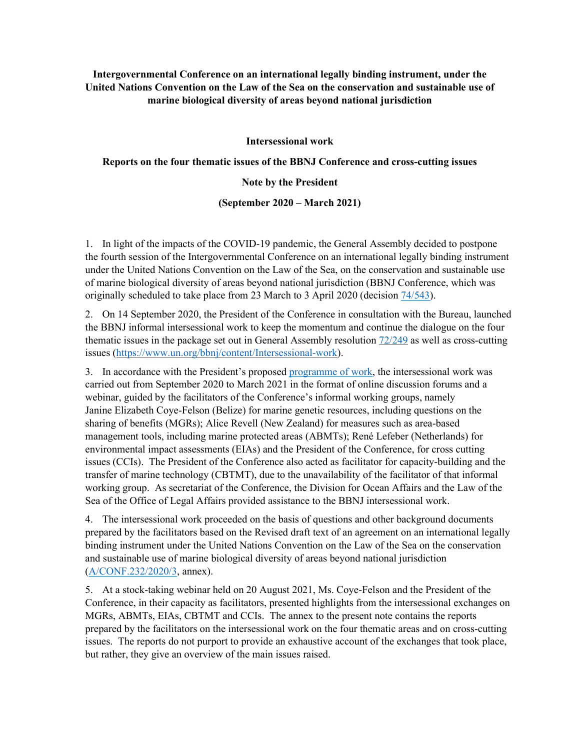**Intergovernmental Conference on an international legally binding instrument, under the United Nations Convention on the Law of the Sea on the conservation and sustainable use of marine biological diversity of areas beyond national jurisdiction** 

**Intersessional work** 

**Reports on the four thematic issues of the BBNJ Conference and cross-cutting issues** 

#### **Note by the President**

### **(September 2020 – March 2021)**

1. In light of the impacts of the COVID-19 pandemic, the General Assembly decided to postpone the fourth session of the Intergovernmental Conference on an international legally binding instrument under the United Nations Convention on the Law of the Sea, on the conservation and sustainable use of marine biological diversity of areas beyond national jurisdiction (BBNJ Conference, which was originally scheduled to take place from 23 March to 3 April 2020 (decision  $\frac{74}{543}$ ).

2. On 14 September 2020, the President of the Conference in consultation with the Bureau, launched the BBNJ informal intersessional work to keep the momentum and continue the dialogue on the four thematic issues in the package set out in General Assembly resolution 72/249 as well as cross-cutting issues (https://www.un.org/bbnj/content/Intersessional-work).

3. In accordance with the President's proposed programme of work, the intersessional work was carried out from September 2020 to March 2021 in the format of online discussion forums and a webinar, guided by the facilitators of the Conference's informal working groups, namely Janine Elizabeth Coye-Felson (Belize) for marine genetic resources, including questions on the sharing of benefits (MGRs); Alice Revell (New Zealand) for measures such as area-based management tools, including marine protected areas (ABMTs); René Lefeber (Netherlands) for environmental impact assessments (EIAs) and the President of the Conference, for cross cutting issues (CCIs). The President of the Conference also acted as facilitator for capacity-building and the transfer of marine technology (CBTMT), due to the unavailability of the facilitator of that informal working group. As secretariat of the Conference, the Division for Ocean Affairs and the Law of the Sea of the Office of Legal Affairs provided assistance to the BBNJ intersessional work.

4. The intersessional work proceeded on the basis of questions and other background documents prepared by the facilitators based on the Revised draft text of an agreement on an international legally binding instrument under the United Nations Convention on the Law of the Sea on the conservation and sustainable use of marine biological diversity of areas beyond national jurisdiction (A/CONF.232/2020/3, annex).

5. At a stock-taking webinar held on 20 August 2021, Ms. Coye-Felson and the President of the Conference, in their capacity as facilitators, presented highlights from the intersessional exchanges on MGRs, ABMTs, EIAs, CBTMT and CCIs. The annex to the present note contains the reports prepared by the facilitators on the intersessional work on the four thematic areas and on cross-cutting issues. The reports do not purport to provide an exhaustive account of the exchanges that took place, but rather, they give an overview of the main issues raised.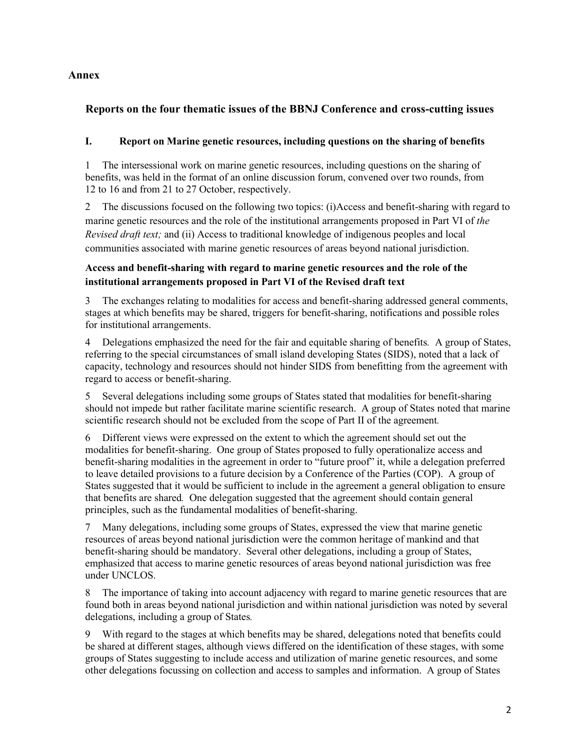# **Annex**

# **Reports on the four thematic issues of the BBNJ Conference and cross-cutting issues**

## **I. Report on Marine genetic resources, including questions on the sharing of benefits**

1 The intersessional work on marine genetic resources, including questions on the sharing of benefits, was held in the format of an online discussion forum, convened over two rounds, from 12 to 16 and from 21 to 27 October, respectively.

2 The discussions focused on the following two topics: (i)Access and benefit-sharing with regard to marine genetic resources and the role of the institutional arrangements proposed in Part VI of *the Revised draft text;* and (ii) Access to traditional knowledge of indigenous peoples and local communities associated with marine genetic resources of areas beyond national jurisdiction.

# **Access and benefit-sharing with regard to marine genetic resources and the role of the institutional arrangements proposed in Part VI of the Revised draft text**

3 The exchanges relating to modalities for access and benefit-sharing addressed general comments, stages at which benefits may be shared, triggers for benefit-sharing, notifications and possible roles for institutional arrangements.

4 Delegations emphasized the need for the fair and equitable sharing of benefits*.* A group of States, referring to the special circumstances of small island developing States (SIDS), noted that a lack of capacity, technology and resources should not hinder SIDS from benefitting from the agreement with regard to access or benefit-sharing.

5 Several delegations including some groups of States stated that modalities for benefit-sharing should not impede but rather facilitate marine scientific research. A group of States noted that marine scientific research should not be excluded from the scope of Part II of the agreement*.*

6 Different views were expressed on the extent to which the agreement should set out the modalities for benefit-sharing. One group of States proposed to fully operationalize access and benefit-sharing modalities in the agreement in order to "future proof" it, while a delegation preferred to leave detailed provisions to a future decision by a Conference of the Parties (COP). A group of States suggested that it would be sufficient to include in the agreement a general obligation to ensure that benefits are shared*.* One delegation suggested that the agreement should contain general principles, such as the fundamental modalities of benefit-sharing.

7 Many delegations, including some groups of States, expressed the view that marine genetic resources of areas beyond national jurisdiction were the common heritage of mankind and that benefit-sharing should be mandatory. Several other delegations, including a group of States, emphasized that access to marine genetic resources of areas beyond national jurisdiction was free under UNCLOS.

8 The importance of taking into account adjacency with regard to marine genetic resources that are found both in areas beyond national jurisdiction and within national jurisdiction was noted by several delegations, including a group of States*.* 

9 With regard to the stages at which benefits may be shared, delegations noted that benefits could be shared at different stages, although views differed on the identification of these stages, with some groups of States suggesting to include access and utilization of marine genetic resources, and some other delegations focussing on collection and access to samples and information. A group of States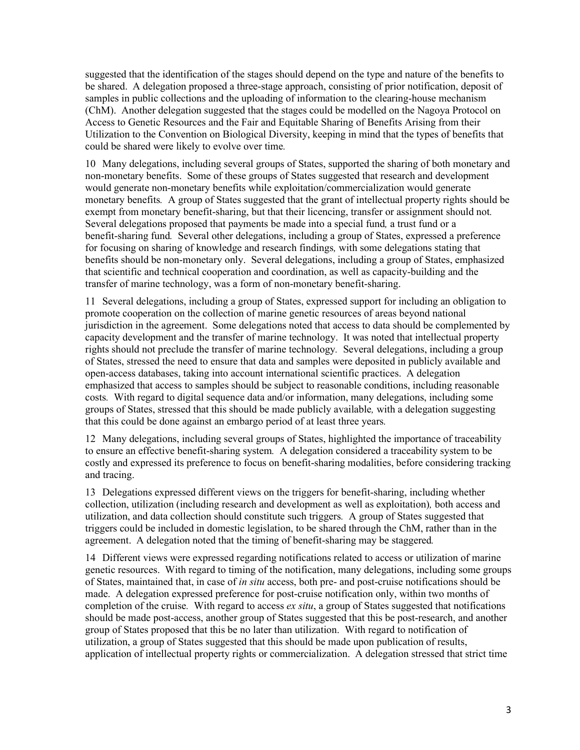suggested that the identification of the stages should depend on the type and nature of the benefits to be shared. A delegation proposed a three-stage approach, consisting of prior notification, deposit of samples in public collections and the uploading of information to the clearing-house mechanism (ChM). Another delegation suggested that the stages could be modelled on the Nagoya Protocol on Access to Genetic Resources and the Fair and Equitable Sharing of Benefits Arising from their Utilization to the Convention on Biological Diversity, keeping in mind that the types of benefits that could be shared were likely to evolve over time*.*

10 Many delegations, including several groups of States, supported the sharing of both monetary and non-monetary benefits. Some of these groups of States suggested that research and development would generate non-monetary benefits while exploitation/commercialization would generate monetary benefits*.* A group of States suggested that the grant of intellectual property rights should be exempt from monetary benefit-sharing, but that their licencing, transfer or assignment should not*.*  Several delegations proposed that payments be made into a special fund*,* a trust fund or a benefit-sharing fund*.* Several other delegations, including a group of States, expressed a preference for focusing on sharing of knowledge and research findings*,* with some delegations stating that benefits should be non-monetary only. Several delegations, including a group of States, emphasized that scientific and technical cooperation and coordination, as well as capacity-building and the transfer of marine technology, was a form of non-monetary benefit-sharing.

11 Several delegations, including a group of States, expressed support for including an obligation to promote cooperation on the collection of marine genetic resources of areas beyond national jurisdiction in the agreement. Some delegations noted that access to data should be complemented by capacity development and the transfer of marine technology. It was noted that intellectual property rights should not preclude the transfer of marine technology*.* Several delegations, including a group of States, stressed the need to ensure that data and samples were deposited in publicly available and open-access databases, taking into account international scientific practices. A delegation emphasized that access to samples should be subject to reasonable conditions, including reasonable costs*.* With regard to digital sequence data and/or information, many delegations, including some groups of States, stressed that this should be made publicly available*,* with a delegation suggesting that this could be done against an embargo period of at least three years*.*

12 Many delegations, including several groups of States, highlighted the importance of traceability to ensure an effective benefit-sharing system*.* A delegation considered a traceability system to be costly and expressed its preference to focus on benefit-sharing modalities, before considering tracking and tracing.

13 Delegations expressed different views on the triggers for benefit-sharing, including whether collection, utilization (including research and development as well as exploitation)*,* both access and utilization, and data collection should constitute such triggers*.* A group of States suggested that triggers could be included in domestic legislation, to be shared through the ChM, rather than in the agreement. A delegation noted that the timing of benefit-sharing may be staggered*.*

14 Different views were expressed regarding notifications related to access or utilization of marine genetic resources. With regard to timing of the notification, many delegations, including some groups of States, maintained that, in case of *in situ* access, both pre- and post-cruise notifications should be made. A delegation expressed preference for post-cruise notification only, within two months of completion of the cruise*.* With regard to access *ex situ*, a group of States suggested that notifications should be made post-access, another group of States suggested that this be post-research, and another group of States proposed that this be no later than utilization. With regard to notification of utilization, a group of States suggested that this should be made upon publication of results, application of intellectual property rights or commercialization. A delegation stressed that strict time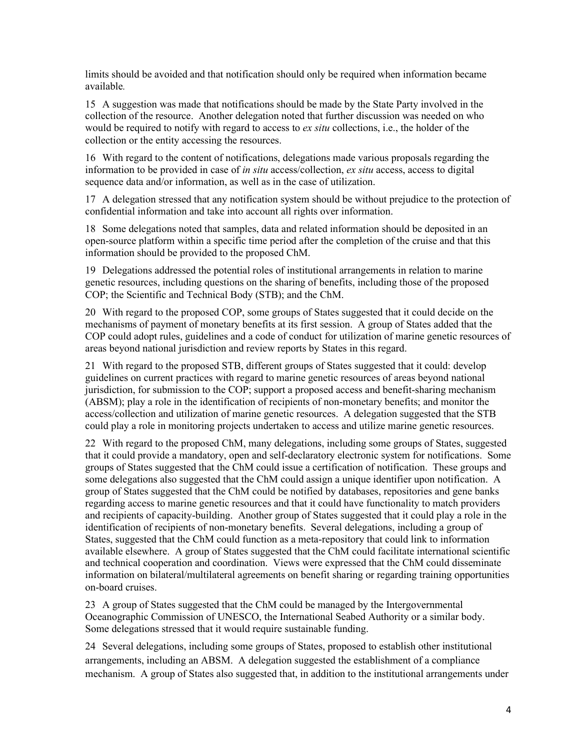limits should be avoided and that notification should only be required when information became available*.*

15 A suggestion was made that notifications should be made by the State Party involved in the collection of the resource. Another delegation noted that further discussion was needed on who would be required to notify with regard to access to *ex situ* collections, i.e., the holder of the collection or the entity accessing the resources.

16 With regard to the content of notifications, delegations made various proposals regarding the information to be provided in case of *in situ* access/collection, *ex situ* access, access to digital sequence data and/or information, as well as in the case of utilization.

17 A delegation stressed that any notification system should be without prejudice to the protection of confidential information and take into account all rights over information.

18 Some delegations noted that samples, data and related information should be deposited in an open-source platform within a specific time period after the completion of the cruise and that this information should be provided to the proposed ChM.

19 Delegations addressed the potential roles of institutional arrangements in relation to marine genetic resources, including questions on the sharing of benefits, including those of the proposed COP; the Scientific and Technical Body (STB); and the ChM.

20 With regard to the proposed COP, some groups of States suggested that it could decide on the mechanisms of payment of monetary benefits at its first session. A group of States added that the COP could adopt rules, guidelines and a code of conduct for utilization of marine genetic resources of areas beyond national jurisdiction and review reports by States in this regard.

21 With regard to the proposed STB, different groups of States suggested that it could: develop guidelines on current practices with regard to marine genetic resources of areas beyond national jurisdiction, for submission to the COP; support a proposed access and benefit-sharing mechanism (ABSM); play a role in the identification of recipients of non-monetary benefits; and monitor the access/collection and utilization of marine genetic resources. A delegation suggested that the STB could play a role in monitoring projects undertaken to access and utilize marine genetic resources.

22 With regard to the proposed ChM, many delegations, including some groups of States, suggested that it could provide a mandatory, open and self-declaratory electronic system for notifications. Some groups of States suggested that the ChM could issue a certification of notification. These groups and some delegations also suggested that the ChM could assign a unique identifier upon notification. A group of States suggested that the ChM could be notified by databases, repositories and gene banks regarding access to marine genetic resources and that it could have functionality to match providers and recipients of capacity-building. Another group of States suggested that it could play a role in the identification of recipients of non-monetary benefits. Several delegations, including a group of States, suggested that the ChM could function as a meta-repository that could link to information available elsewhere. A group of States suggested that the ChM could facilitate international scientific and technical cooperation and coordination. Views were expressed that the ChM could disseminate information on bilateral/multilateral agreements on benefit sharing or regarding training opportunities on-board cruises.

23 A group of States suggested that the ChM could be managed by the Intergovernmental Oceanographic Commission of UNESCO, the International Seabed Authority or a similar body. Some delegations stressed that it would require sustainable funding.

24 Several delegations, including some groups of States, proposed to establish other institutional arrangements, including an ABSM. A delegation suggested the establishment of a compliance mechanism. A group of States also suggested that, in addition to the institutional arrangements under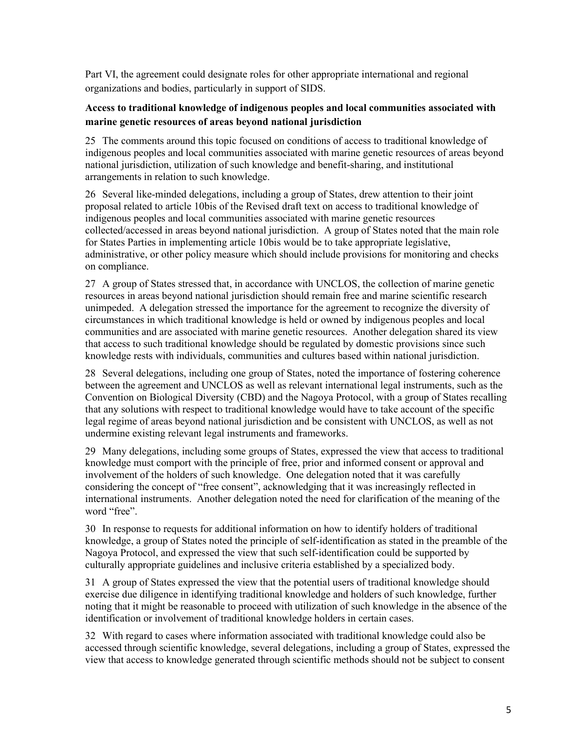Part VI, the agreement could designate roles for other appropriate international and regional organizations and bodies, particularly in support of SIDS.

# **Access to traditional knowledge of indigenous peoples and local communities associated with marine genetic resources of areas beyond national jurisdiction**

25 The comments around this topic focused on conditions of access to traditional knowledge of indigenous peoples and local communities associated with marine genetic resources of areas beyond national jurisdiction, utilization of such knowledge and benefit-sharing, and institutional arrangements in relation to such knowledge.

26 Several like-minded delegations, including a group of States, drew attention to their joint proposal related to article 10bis of the Revised draft text on access to traditional knowledge of indigenous peoples and local communities associated with marine genetic resources collected/accessed in areas beyond national jurisdiction. A group of States noted that the main role for States Parties in implementing article 10bis would be to take appropriate legislative, administrative, or other policy measure which should include provisions for monitoring and checks on compliance.

27 A group of States stressed that, in accordance with UNCLOS, the collection of marine genetic resources in areas beyond national jurisdiction should remain free and marine scientific research unimpeded. A delegation stressed the importance for the agreement to recognize the diversity of circumstances in which traditional knowledge is held or owned by indigenous peoples and local communities and are associated with marine genetic resources. Another delegation shared its view that access to such traditional knowledge should be regulated by domestic provisions since such knowledge rests with individuals, communities and cultures based within national jurisdiction.

28 Several delegations, including one group of States, noted the importance of fostering coherence between the agreement and UNCLOS as well as relevant international legal instruments, such as the Convention on Biological Diversity (CBD) and the Nagoya Protocol, with a group of States recalling that any solutions with respect to traditional knowledge would have to take account of the specific legal regime of areas beyond national jurisdiction and be consistent with UNCLOS, as well as not undermine existing relevant legal instruments and frameworks.

29 Many delegations, including some groups of States, expressed the view that access to traditional knowledge must comport with the principle of free, prior and informed consent or approval and involvement of the holders of such knowledge. One delegation noted that it was carefully considering the concept of "free consent", acknowledging that it was increasingly reflected in international instruments. Another delegation noted the need for clarification of the meaning of the word "free".

30 In response to requests for additional information on how to identify holders of traditional knowledge, a group of States noted the principle of self-identification as stated in the preamble of the Nagoya Protocol, and expressed the view that such self-identification could be supported by culturally appropriate guidelines and inclusive criteria established by a specialized body.

31 A group of States expressed the view that the potential users of traditional knowledge should exercise due diligence in identifying traditional knowledge and holders of such knowledge, further noting that it might be reasonable to proceed with utilization of such knowledge in the absence of the identification or involvement of traditional knowledge holders in certain cases.

32 With regard to cases where information associated with traditional knowledge could also be accessed through scientific knowledge, several delegations, including a group of States, expressed the view that access to knowledge generated through scientific methods should not be subject to consent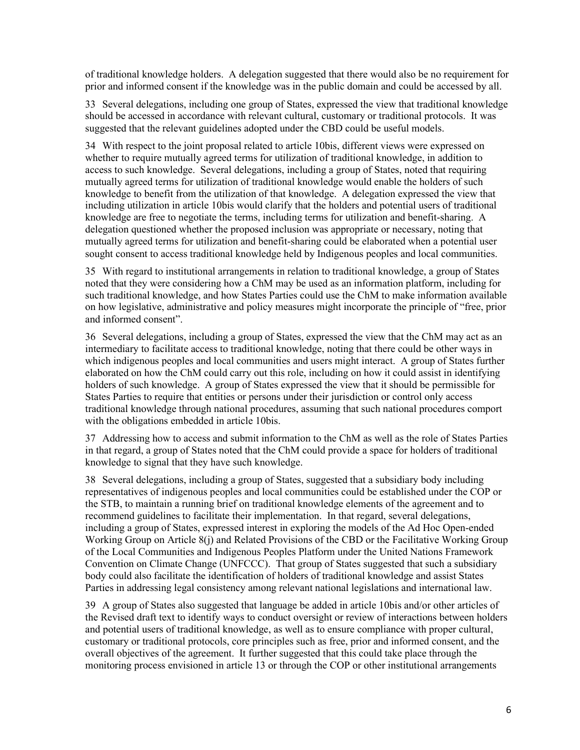of traditional knowledge holders. A delegation suggested that there would also be no requirement for prior and informed consent if the knowledge was in the public domain and could be accessed by all.

33 Several delegations, including one group of States, expressed the view that traditional knowledge should be accessed in accordance with relevant cultural, customary or traditional protocols. It was suggested that the relevant guidelines adopted under the CBD could be useful models.

34 With respect to the joint proposal related to article 10bis, different views were expressed on whether to require mutually agreed terms for utilization of traditional knowledge, in addition to access to such knowledge. Several delegations, including a group of States, noted that requiring mutually agreed terms for utilization of traditional knowledge would enable the holders of such knowledge to benefit from the utilization of that knowledge. A delegation expressed the view that including utilization in article 10bis would clarify that the holders and potential users of traditional knowledge are free to negotiate the terms, including terms for utilization and benefit-sharing. A delegation questioned whether the proposed inclusion was appropriate or necessary, noting that mutually agreed terms for utilization and benefit-sharing could be elaborated when a potential user sought consent to access traditional knowledge held by Indigenous peoples and local communities.

35 With regard to institutional arrangements in relation to traditional knowledge, a group of States noted that they were considering how a ChM may be used as an information platform, including for such traditional knowledge, and how States Parties could use the ChM to make information available on how legislative, administrative and policy measures might incorporate the principle of "free, prior and informed consent".

36 Several delegations, including a group of States, expressed the view that the ChM may act as an intermediary to facilitate access to traditional knowledge, noting that there could be other ways in which indigenous peoples and local communities and users might interact. A group of States further elaborated on how the ChM could carry out this role, including on how it could assist in identifying holders of such knowledge. A group of States expressed the view that it should be permissible for States Parties to require that entities or persons under their jurisdiction or control only access traditional knowledge through national procedures, assuming that such national procedures comport with the obligations embedded in article 10bis.

37 Addressing how to access and submit information to the ChM as well as the role of States Parties in that regard, a group of States noted that the ChM could provide a space for holders of traditional knowledge to signal that they have such knowledge.

38 Several delegations, including a group of States, suggested that a subsidiary body including representatives of indigenous peoples and local communities could be established under the COP or the STB, to maintain a running brief on traditional knowledge elements of the agreement and to recommend guidelines to facilitate their implementation. In that regard, several delegations, including a group of States, expressed interest in exploring the models of the Ad Hoc Open-ended Working Group on Article 8(j) and Related Provisions of the CBD or the Facilitative Working Group of the Local Communities and Indigenous Peoples Platform under the United Nations Framework Convention on Climate Change (UNFCCC). That group of States suggested that such a subsidiary body could also facilitate the identification of holders of traditional knowledge and assist States Parties in addressing legal consistency among relevant national legislations and international law.

39 A group of States also suggested that language be added in article 10bis and/or other articles of the Revised draft text to identify ways to conduct oversight or review of interactions between holders and potential users of traditional knowledge, as well as to ensure compliance with proper cultural, customary or traditional protocols, core principles such as free, prior and informed consent, and the overall objectives of the agreement. It further suggested that this could take place through the monitoring process envisioned in article 13 or through the COP or other institutional arrangements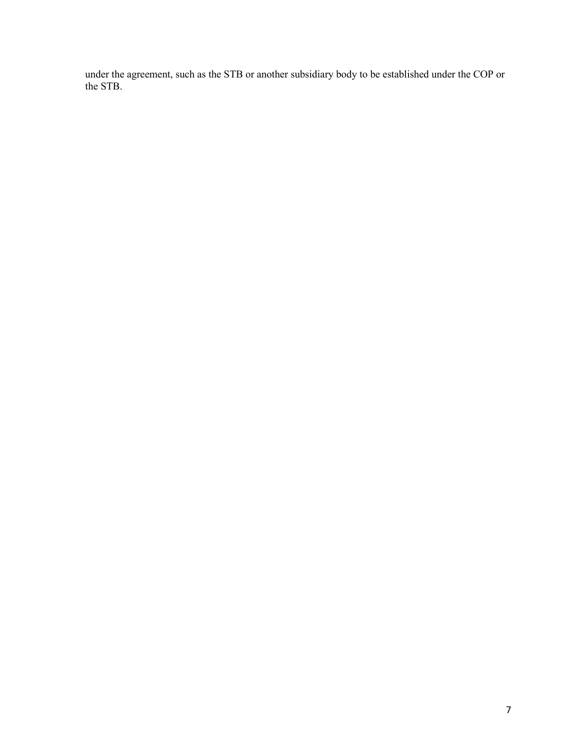under the agreement, such as the STB or another subsidiary body to be established under the COP or the STB.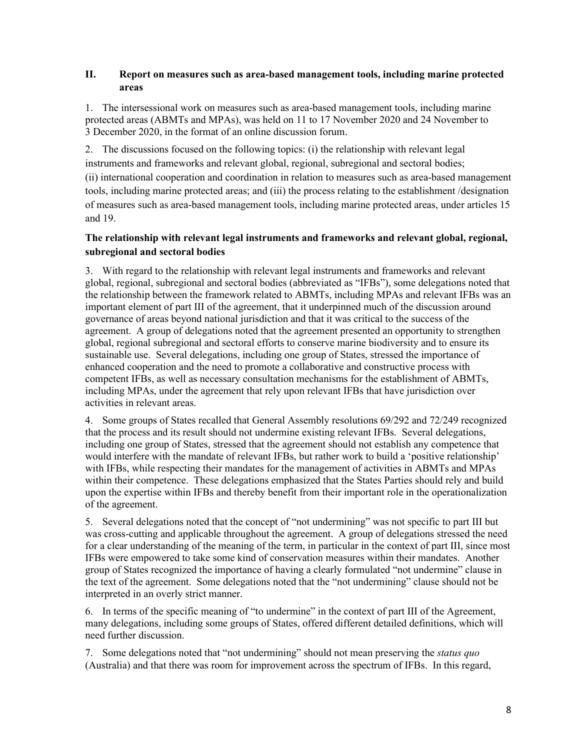### **II. Report on measures such as area-based management tools, including marine protected areas**

1. The intersessional work on measures such as area-based management tools, including marine protected areas (ABMTs and MPAs), was held on 11 to 17 November 2020 and 24 November to 3 December 2020, in the format of an online discussion forum.

2. The discussions focused on the following topics: (i) the relationship with relevant legal instruments and frameworks and relevant global, regional, subregional and sectoral bodies; (ii) international cooperation and coordination in relation to measures such as area-based management tools, including marine protected areas; and (iii) the process relating to the establishment /designation of measures such as area-based management tools, including marine protected areas, under articles 15 and 19.

## **The relationship with relevant legal instruments and frameworks and relevant global, regional, subregional and sectoral bodies**

3. With regard to the relationship with relevant legal instruments and frameworks and relevant global, regional, subregional and sectoral bodies (abbreviated as "IFBs"), some delegations noted that the relationship between the framework related to ABMTs, including MPAs and relevant IFBs was an important element of part III of the agreement, that it underpinned much of the discussion around governance of areas beyond national jurisdiction and that it was critical to the success of the agreement. A group of delegations noted that the agreement presented an opportunity to strengthen global, regional subregional and sectoral efforts to conserve marine biodiversity and to ensure its sustainable use. Several delegations, including one group of States, stressed the importance of enhanced cooperation and the need to promote a collaborative and constructive process with competent IFBs, as well as necessary consultation mechanisms for the establishment of ABMTs, including MPAs, under the agreement that rely upon relevant IFBs that have jurisdiction over activities in relevant areas.

4. Some groups of States recalled that General Assembly resolutions 69/292 and 72/249 recognized that the process and its result should not undermine existing relevant IFBs. Several delegations, including one group of States, stressed that the agreement should not establish any competence that would interfere with the mandate of relevant IFBs, but rather work to build a 'positive relationship' with IFBs, while respecting their mandates for the management of activities in ABMTs and MPAs within their competence. These delegations emphasized that the States Parties should rely and build upon the expertise within IFBs and thereby benefit from their important role in the operationalization of the agreement.

5. Several delegations noted that the concept of "not undermining" was not specific to part III but was cross-cutting and applicable throughout the agreement. A group of delegations stressed the need for a clear understanding of the meaning of the term, in particular in the context of part III, since most IFBs were empowered to take some kind of conservation measures within their mandates. Another group of States recognized the importance of having a clearly formulated "not undermine" clause in the text of the agreement. Some delegations noted that the "not undermining" clause should not be interpreted in an overly strict manner.

6. In terms of the specific meaning of "to undermine" in the context of part III of the Agreement, many delegations, including some groups of States, offered different detailed definitions, which will need further discussion.

7. Some delegations noted that "not undermining" should not mean preserving the *status quo* (Australia) and that there was room for improvement across the spectrum of IFBs. In this regard,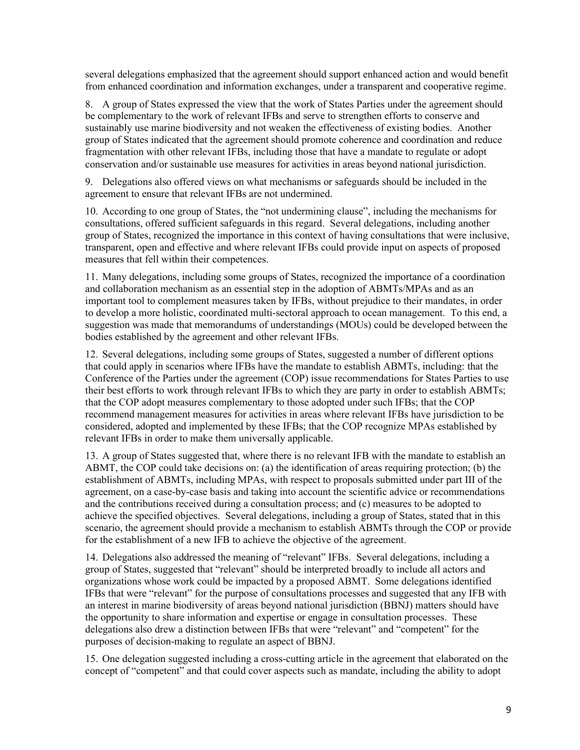several delegations emphasized that the agreement should support enhanced action and would benefit from enhanced coordination and information exchanges, under a transparent and cooperative regime.

8. A group of States expressed the view that the work of States Parties under the agreement should be complementary to the work of relevant IFBs and serve to strengthen efforts to conserve and sustainably use marine biodiversity and not weaken the effectiveness of existing bodies. Another group of States indicated that the agreement should promote coherence and coordination and reduce fragmentation with other relevant IFBs, including those that have a mandate to regulate or adopt conservation and/or sustainable use measures for activities in areas beyond national jurisdiction.

9. Delegations also offered views on what mechanisms or safeguards should be included in the agreement to ensure that relevant IFBs are not undermined.

10. According to one group of States, the "not undermining clause", including the mechanisms for consultations, offered sufficient safeguards in this regard. Several delegations, including another group of States, recognized the importance in this context of having consultations that were inclusive, transparent, open and effective and where relevant IFBs could provide input on aspects of proposed measures that fell within their competences.

11. Many delegations, including some groups of States, recognized the importance of a coordination and collaboration mechanism as an essential step in the adoption of ABMTs/MPAs and as an important tool to complement measures taken by IFBs, without prejudice to their mandates, in order to develop a more holistic, coordinated multi-sectoral approach to ocean management. To this end, a suggestion was made that memorandums of understandings (MOUs) could be developed between the bodies established by the agreement and other relevant IFBs.

12. Several delegations, including some groups of States, suggested a number of different options that could apply in scenarios where IFBs have the mandate to establish ABMTs, including: that the Conference of the Parties under the agreement (COP) issue recommendations for States Parties to use their best efforts to work through relevant IFBs to which they are party in order to establish ABMTs; that the COP adopt measures complementary to those adopted under such IFBs; that the COP recommend management measures for activities in areas where relevant IFBs have jurisdiction to be considered, adopted and implemented by these IFBs; that the COP recognize MPAs established by relevant IFBs in order to make them universally applicable.

13. A group of States suggested that, where there is no relevant IFB with the mandate to establish an ABMT, the COP could take decisions on: (a) the identification of areas requiring protection; (b) the establishment of ABMTs, including MPAs, with respect to proposals submitted under part III of the agreement, on a case-by-case basis and taking into account the scientific advice or recommendations and the contributions received during a consultation process; and (c) measures to be adopted to achieve the specified objectives. Several delegations, including a group of States, stated that in this scenario, the agreement should provide a mechanism to establish ABMTs through the COP or provide for the establishment of a new IFB to achieve the objective of the agreement.

14. Delegations also addressed the meaning of "relevant" IFBs. Several delegations, including a group of States, suggested that "relevant" should be interpreted broadly to include all actors and organizations whose work could be impacted by a proposed ABMT. Some delegations identified IFBs that were "relevant" for the purpose of consultations processes and suggested that any IFB with an interest in marine biodiversity of areas beyond national jurisdiction (BBNJ) matters should have the opportunity to share information and expertise or engage in consultation processes. These delegations also drew a distinction between IFBs that were "relevant" and "competent" for the purposes of decision-making to regulate an aspect of BBNJ.

15. One delegation suggested including a cross-cutting article in the agreement that elaborated on the concept of "competent" and that could cover aspects such as mandate, including the ability to adopt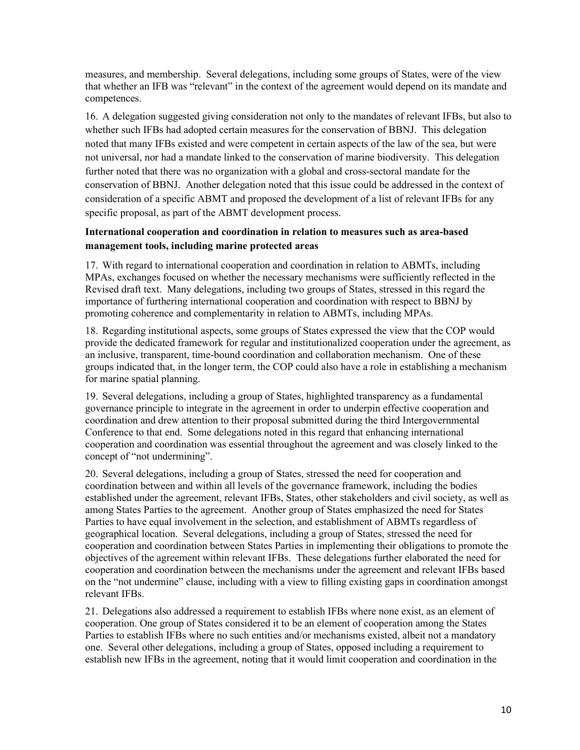measures, and membership. Several delegations, including some groups of States, were of the view that whether an IFB was "relevant" in the context of the agreement would depend on its mandate and competences.

16. A delegation suggested giving consideration not only to the mandates of relevant IFBs, but also to whether such IFBs had adopted certain measures for the conservation of BBNJ. This delegation noted that many IFBs existed and were competent in certain aspects of the law of the sea, but were not universal, nor had a mandate linked to the conservation of marine biodiversity. This delegation further noted that there was no organization with a global and cross-sectoral mandate for the conservation of BBNJ. Another delegation noted that this issue could be addressed in the context of consideration of a specific ABMT and proposed the development of a list of relevant IFBs for any specific proposal, as part of the ABMT development process.

## **International cooperation and coordination in relation to measures such as area-based management tools, including marine protected areas**

17. With regard to international cooperation and coordination in relation to ABMTs, including MPAs, exchanges focused on whether the necessary mechanisms were sufficiently reflected in the Revised draft text. Many delegations, including two groups of States, stressed in this regard the importance of furthering international cooperation and coordination with respect to BBNJ by promoting coherence and complementarity in relation to ABMTs, including MPAs.

18. Regarding institutional aspects, some groups of States expressed the view that the COP would provide the dedicated framework for regular and institutionalized cooperation under the agreement, as an inclusive, transparent, time-bound coordination and collaboration mechanism. One of these groups indicated that, in the longer term, the COP could also have a role in establishing a mechanism for marine spatial planning.

19. Several delegations, including a group of States, highlighted transparency as a fundamental governance principle to integrate in the agreement in order to underpin effective cooperation and coordination and drew attention to their proposal submitted during the third Intergovernmental Conference to that end. Some delegations noted in this regard that enhancing international cooperation and coordination was essential throughout the agreement and was closely linked to the concept of "not undermining".

20. Several delegations, including a group of States, stressed the need for cooperation and coordination between and within all levels of the governance framework, including the bodies established under the agreement, relevant IFBs, States, other stakeholders and civil society, as well as among States Parties to the agreement. Another group of States emphasized the need for States Parties to have equal involvement in the selection, and establishment of ABMTs regardless of geographical location. Several delegations, including a group of States, stressed the need for cooperation and coordination between States Parties in implementing their obligations to promote the objectives of the agreement within relevant IFBs. These delegations further elaborated the need for cooperation and coordination between the mechanisms under the agreement and relevant IFBs based on the "not undermine" clause, including with a view to filling existing gaps in coordination amongst relevant IFBs.

21. Delegations also addressed a requirement to establish IFBs where none exist, as an element of cooperation. One group of States considered it to be an element of cooperation among the States Parties to establish IFBs where no such entities and/or mechanisms existed, albeit not a mandatory one. Several other delegations, including a group of States, opposed including a requirement to establish new IFBs in the agreement, noting that it would limit cooperation and coordination in the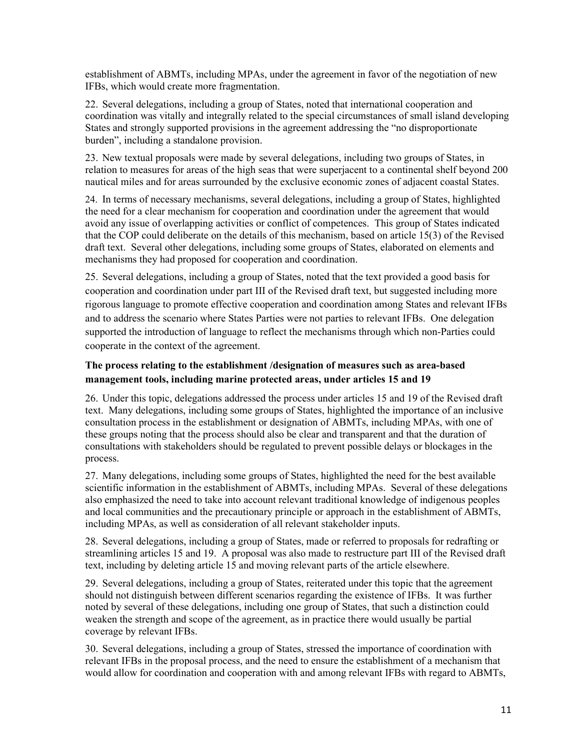establishment of ABMTs, including MPAs, under the agreement in favor of the negotiation of new IFBs, which would create more fragmentation.

22. Several delegations, including a group of States, noted that international cooperation and coordination was vitally and integrally related to the special circumstances of small island developing States and strongly supported provisions in the agreement addressing the "no disproportionate burden", including a standalone provision.

23. New textual proposals were made by several delegations, including two groups of States, in relation to measures for areas of the high seas that were superjacent to a continental shelf beyond 200 nautical miles and for areas surrounded by the exclusive economic zones of adjacent coastal States.

24. In terms of necessary mechanisms, several delegations, including a group of States, highlighted the need for a clear mechanism for cooperation and coordination under the agreement that would avoid any issue of overlapping activities or conflict of competences. This group of States indicated that the COP could deliberate on the details of this mechanism, based on article 15(3) of the Revised draft text. Several other delegations, including some groups of States, elaborated on elements and mechanisms they had proposed for cooperation and coordination.

25. Several delegations, including a group of States, noted that the text provided a good basis for cooperation and coordination under part III of the Revised draft text, but suggested including more rigorous language to promote effective cooperation and coordination among States and relevant IFBs and to address the scenario where States Parties were not parties to relevant IFBs. One delegation supported the introduction of language to reflect the mechanisms through which non-Parties could cooperate in the context of the agreement.

# **The process relating to the establishment /designation of measures such as area-based management tools, including marine protected areas, under articles 15 and 19**

26. Under this topic, delegations addressed the process under articles 15 and 19 of the Revised draft text. Many delegations, including some groups of States, highlighted the importance of an inclusive consultation process in the establishment or designation of ABMTs, including MPAs, with one of these groups noting that the process should also be clear and transparent and that the duration of consultations with stakeholders should be regulated to prevent possible delays or blockages in the process.

27. Many delegations, including some groups of States, highlighted the need for the best available scientific information in the establishment of ABMTs, including MPAs. Several of these delegations also emphasized the need to take into account relevant traditional knowledge of indigenous peoples and local communities and the precautionary principle or approach in the establishment of ABMTs, including MPAs, as well as consideration of all relevant stakeholder inputs.

28. Several delegations, including a group of States, made or referred to proposals for redrafting or streamlining articles 15 and 19. A proposal was also made to restructure part III of the Revised draft text, including by deleting article 15 and moving relevant parts of the article elsewhere.

29. Several delegations, including a group of States, reiterated under this topic that the agreement should not distinguish between different scenarios regarding the existence of IFBs. It was further noted by several of these delegations, including one group of States, that such a distinction could weaken the strength and scope of the agreement, as in practice there would usually be partial coverage by relevant IFBs.

30. Several delegations, including a group of States, stressed the importance of coordination with relevant IFBs in the proposal process, and the need to ensure the establishment of a mechanism that would allow for coordination and cooperation with and among relevant IFBs with regard to ABMTs,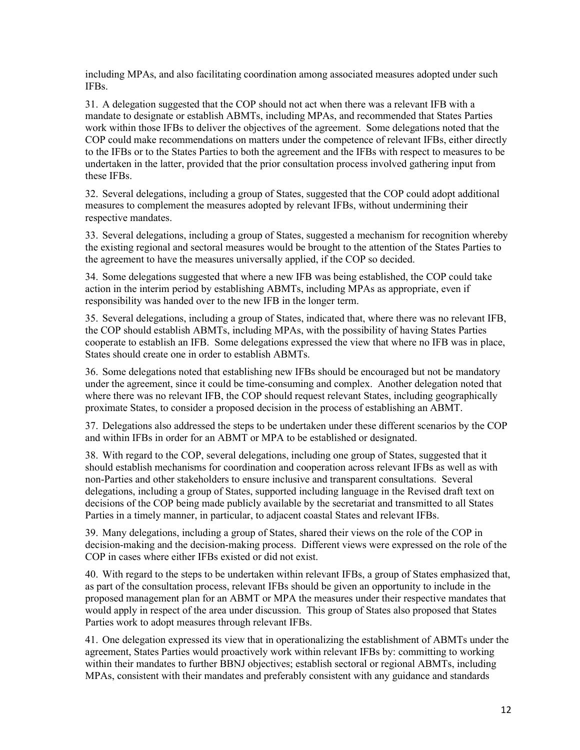including MPAs, and also facilitating coordination among associated measures adopted under such IFBs.

31. A delegation suggested that the COP should not act when there was a relevant IFB with a mandate to designate or establish ABMTs, including MPAs, and recommended that States Parties work within those IFBs to deliver the objectives of the agreement. Some delegations noted that the COP could make recommendations on matters under the competence of relevant IFBs, either directly to the IFBs or to the States Parties to both the agreement and the IFBs with respect to measures to be undertaken in the latter, provided that the prior consultation process involved gathering input from these IFBs.

32. Several delegations, including a group of States, suggested that the COP could adopt additional measures to complement the measures adopted by relevant IFBs, without undermining their respective mandates.

33. Several delegations, including a group of States, suggested a mechanism for recognition whereby the existing regional and sectoral measures would be brought to the attention of the States Parties to the agreement to have the measures universally applied, if the COP so decided.

34. Some delegations suggested that where a new IFB was being established, the COP could take action in the interim period by establishing ABMTs, including MPAs as appropriate, even if responsibility was handed over to the new IFB in the longer term.

35. Several delegations, including a group of States, indicated that, where there was no relevant IFB, the COP should establish ABMTs, including MPAs, with the possibility of having States Parties cooperate to establish an IFB. Some delegations expressed the view that where no IFB was in place, States should create one in order to establish ABMTs.

36. Some delegations noted that establishing new IFBs should be encouraged but not be mandatory under the agreement, since it could be time-consuming and complex. Another delegation noted that where there was no relevant IFB, the COP should request relevant States, including geographically proximate States, to consider a proposed decision in the process of establishing an ABMT.  

37. Delegations also addressed the steps to be undertaken under these different scenarios by the COP and within IFBs in order for an ABMT or MPA to be established or designated.

38. With regard to the COP, several delegations, including one group of States, suggested that it should establish mechanisms for coordination and cooperation across relevant IFBs as well as with non-Parties and other stakeholders to ensure inclusive and transparent consultations. Several delegations, including a group of States, supported including language in the Revised draft text on decisions of the COP being made publicly available by the secretariat and transmitted to all States Parties in a timely manner, in particular, to adjacent coastal States and relevant IFBs.

39. Many delegations, including a group of States, shared their views on the role of the COP in decision-making and the decision-making process. Different views were expressed on the role of the COP in cases where either IFBs existed or did not exist.

40. With regard to the steps to be undertaken within relevant IFBs, a group of States emphasized that, as part of the consultation process, relevant IFBs should be given an opportunity to include in the proposed management plan for an ABMT or MPA the measures under their respective mandates that would apply in respect of the area under discussion. This group of States also proposed that States Parties work to adopt measures through relevant IFBs.

41. One delegation expressed its view that in operationalizing the establishment of ABMTs under the agreement, States Parties would proactively work within relevant IFBs by: committing to working within their mandates to further BBNJ objectives; establish sectoral or regional ABMTs, including MPAs, consistent with their mandates and preferably consistent with any guidance and standards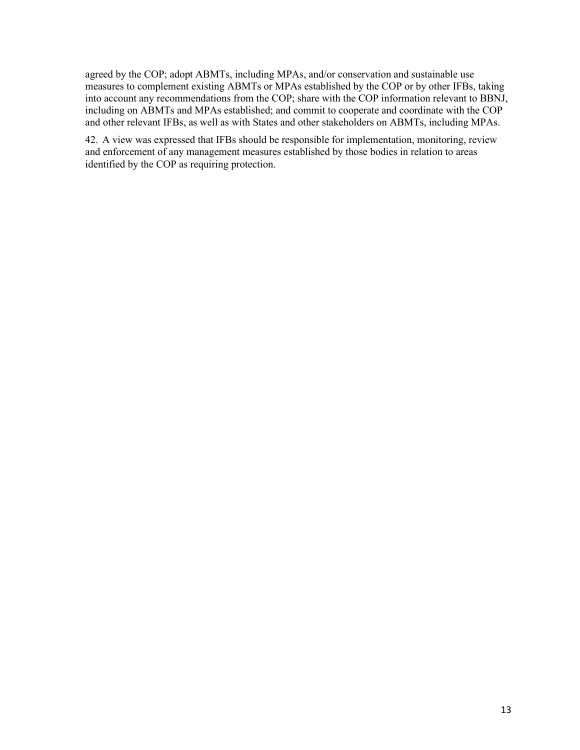agreed by the COP; adopt ABMTs, including MPAs, and/or conservation and sustainable use measures to complement existing ABMTs or MPAs established by the COP or by other IFBs, taking into account any recommendations from the COP; share with the COP information relevant to BBNJ, including on ABMTs and MPAs established; and commit to cooperate and coordinate with the COP and other relevant IFBs, as well as with States and other stakeholders on ABMTs, including MPAs.

42. A view was expressed that IFBs should be responsible for implementation, monitoring, review and enforcement of any management measures established by those bodies in relation to areas identified by the COP as requiring protection.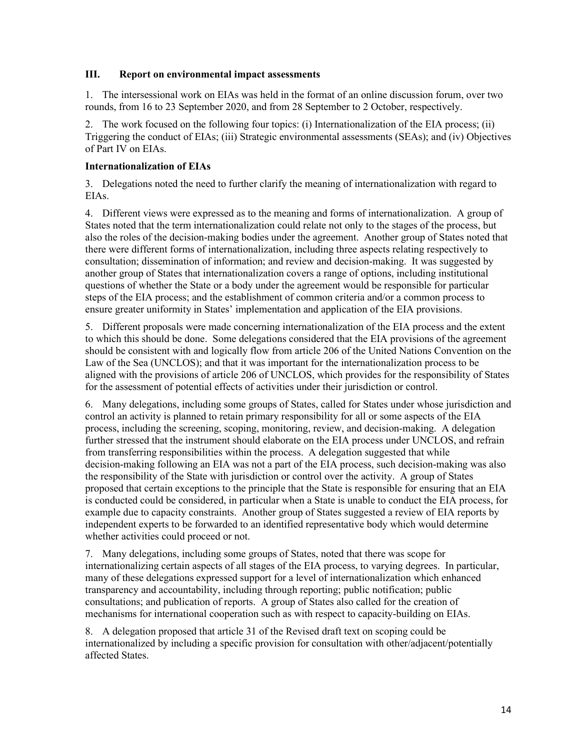#### **III. Report on environmental impact assessments**

1. The intersessional work on EIAs was held in the format of an online discussion forum, over two rounds, from 16 to 23 September 2020, and from 28 September to 2 October, respectively.

2. The work focused on the following four topics: (i) Internationalization of the EIA process; (ii) Triggering the conduct of EIAs; (iii) Strategic environmental assessments (SEAs); and (iv) Objectives of Part IV on EIAs.

### **Internationalization of EIAs**

3. Delegations noted the need to further clarify the meaning of internationalization with regard to EIAs.

4. Different views were expressed as to the meaning and forms of internationalization. A group of States noted that the term internationalization could relate not only to the stages of the process, but also the roles of the decision-making bodies under the agreement. Another group of States noted that there were different forms of internationalization, including three aspects relating respectively to consultation; dissemination of information; and review and decision-making. It was suggested by another group of States that internationalization covers a range of options, including institutional questions of whether the State or a body under the agreement would be responsible for particular steps of the EIA process; and the establishment of common criteria and/or a common process to ensure greater uniformity in States' implementation and application of the EIA provisions.

5. Different proposals were made concerning internationalization of the EIA process and the extent to which this should be done. Some delegations considered that the EIA provisions of the agreement should be consistent with and logically flow from article 206 of the United Nations Convention on the Law of the Sea (UNCLOS); and that it was important for the internationalization process to be aligned with the provisions of article 206 of UNCLOS, which provides for the responsibility of States for the assessment of potential effects of activities under their jurisdiction or control.

6. Many delegations, including some groups of States, called for States under whose jurisdiction and control an activity is planned to retain primary responsibility for all or some aspects of the EIA process, including the screening, scoping, monitoring, review, and decision-making. A delegation further stressed that the instrument should elaborate on the EIA process under UNCLOS, and refrain from transferring responsibilities within the process. A delegation suggested that while decision-making following an EIA was not a part of the EIA process, such decision-making was also the responsibility of the State with jurisdiction or control over the activity. A group of States proposed that certain exceptions to the principle that the State is responsible for ensuring that an EIA is conducted could be considered, in particular when a State is unable to conduct the EIA process, for example due to capacity constraints. Another group of States suggested a review of EIA reports by independent experts to be forwarded to an identified representative body which would determine whether activities could proceed or not.

7. Many delegations, including some groups of States, noted that there was scope for internationalizing certain aspects of all stages of the EIA process, to varying degrees. In particular, many of these delegations expressed support for a level of internationalization which enhanced transparency and accountability, including through reporting; public notification; public consultations; and publication of reports. A group of States also called for the creation of mechanisms for international cooperation such as with respect to capacity-building on EIAs.

8. A delegation proposed that article 31 of the Revised draft text on scoping could be internationalized by including a specific provision for consultation with other/adjacent/potentially affected States.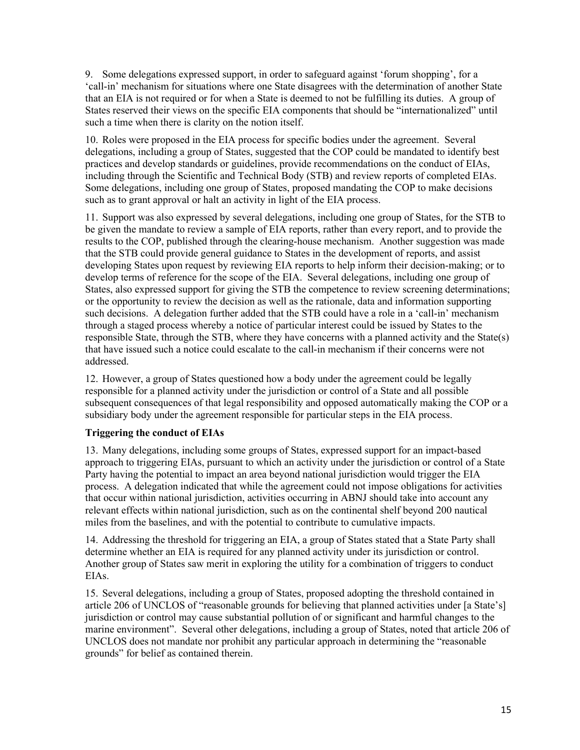9. Some delegations expressed support, in order to safeguard against 'forum shopping', for a 'call-in' mechanism for situations where one State disagrees with the determination of another State that an EIA is not required or for when a State is deemed to not be fulfilling its duties. A group of States reserved their views on the specific EIA components that should be "internationalized" until such a time when there is clarity on the notion itself.

10. Roles were proposed in the EIA process for specific bodies under the agreement. Several delegations, including a group of States, suggested that the COP could be mandated to identify best practices and develop standards or guidelines, provide recommendations on the conduct of EIAs, including through the Scientific and Technical Body (STB) and review reports of completed EIAs. Some delegations, including one group of States, proposed mandating the COP to make decisions such as to grant approval or halt an activity in light of the EIA process.

11. Support was also expressed by several delegations, including one group of States, for the STB to be given the mandate to review a sample of EIA reports, rather than every report, and to provide the results to the COP, published through the clearing-house mechanism. Another suggestion was made that the STB could provide general guidance to States in the development of reports, and assist developing States upon request by reviewing EIA reports to help inform their decision-making; or to develop terms of reference for the scope of the EIA. Several delegations, including one group of States, also expressed support for giving the STB the competence to review screening determinations; or the opportunity to review the decision as well as the rationale, data and information supporting such decisions. A delegation further added that the STB could have a role in a 'call-in' mechanism through a staged process whereby a notice of particular interest could be issued by States to the responsible State, through the STB, where they have concerns with a planned activity and the State(s) that have issued such a notice could escalate to the call-in mechanism if their concerns were not addressed.

12. However, a group of States questioned how a body under the agreement could be legally responsible for a planned activity under the jurisdiction or control of a State and all possible subsequent consequences of that legal responsibility and opposed automatically making the COP or a subsidiary body under the agreement responsible for particular steps in the EIA process.

## **Triggering the conduct of EIAs**

13. Many delegations, including some groups of States, expressed support for an impact-based approach to triggering EIAs, pursuant to which an activity under the jurisdiction or control of a State Party having the potential to impact an area beyond national jurisdiction would trigger the EIA process. A delegation indicated that while the agreement could not impose obligations for activities that occur within national jurisdiction, activities occurring in ABNJ should take into account any relevant effects within national jurisdiction, such as on the continental shelf beyond 200 nautical miles from the baselines, and with the potential to contribute to cumulative impacts.

14. Addressing the threshold for triggering an EIA, a group of States stated that a State Party shall determine whether an EIA is required for any planned activity under its jurisdiction or control. Another group of States saw merit in exploring the utility for a combination of triggers to conduct EIAs.

15. Several delegations, including a group of States, proposed adopting the threshold contained in article 206 of UNCLOS of "reasonable grounds for believing that planned activities under [a State's] jurisdiction or control may cause substantial pollution of or significant and harmful changes to the marine environment". Several other delegations, including a group of States, noted that article 206 of UNCLOS does not mandate nor prohibit any particular approach in determining the "reasonable grounds" for belief as contained therein.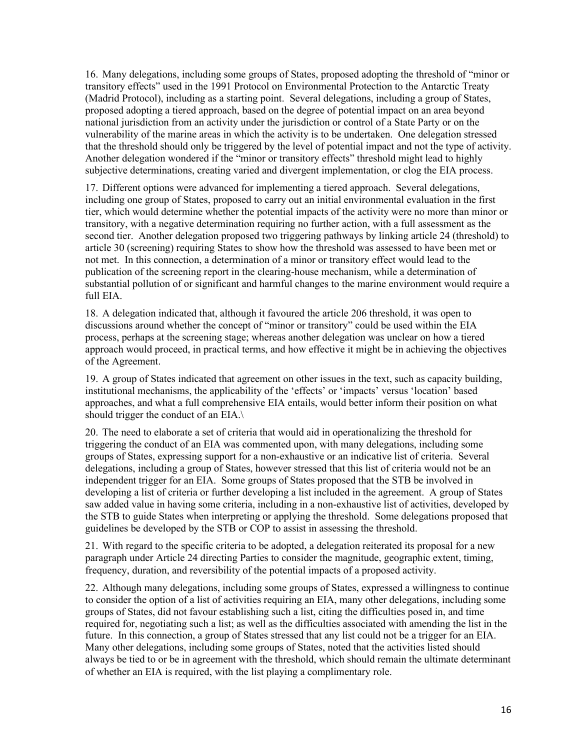16. Many delegations, including some groups of States, proposed adopting the threshold of "minor or transitory effects" used in the 1991 Protocol on Environmental Protection to the Antarctic Treaty (Madrid Protocol), including as a starting point. Several delegations, including a group of States, proposed adopting a tiered approach, based on the degree of potential impact on an area beyond national jurisdiction from an activity under the jurisdiction or control of a State Party or on the vulnerability of the marine areas in which the activity is to be undertaken. One delegation stressed that the threshold should only be triggered by the level of potential impact and not the type of activity. Another delegation wondered if the "minor or transitory effects" threshold might lead to highly subjective determinations, creating varied and divergent implementation, or clog the EIA process.

17. Different options were advanced for implementing a tiered approach. Several delegations, including one group of States, proposed to carry out an initial environmental evaluation in the first tier, which would determine whether the potential impacts of the activity were no more than minor or transitory, with a negative determination requiring no further action, with a full assessment as the second tier. Another delegation proposed two triggering pathways by linking article 24 (threshold) to article 30 (screening) requiring States to show how the threshold was assessed to have been met or not met. In this connection, a determination of a minor or transitory effect would lead to the publication of the screening report in the clearing-house mechanism, while a determination of substantial pollution of or significant and harmful changes to the marine environment would require a full EIA.

18. A delegation indicated that, although it favoured the article 206 threshold, it was open to discussions around whether the concept of "minor or transitory" could be used within the EIA process, perhaps at the screening stage; whereas another delegation was unclear on how a tiered approach would proceed, in practical terms, and how effective it might be in achieving the objectives of the Agreement.

19. A group of States indicated that agreement on other issues in the text, such as capacity building, institutional mechanisms, the applicability of the 'effects' or 'impacts' versus 'location' based approaches, and what a full comprehensive EIA entails, would better inform their position on what should trigger the conduct of an EIA.\

20. The need to elaborate a set of criteria that would aid in operationalizing the threshold for triggering the conduct of an EIA was commented upon, with many delegations, including some groups of States, expressing support for a non-exhaustive or an indicative list of criteria. Several delegations, including a group of States, however stressed that this list of criteria would not be an independent trigger for an EIA. Some groups of States proposed that the STB be involved in developing a list of criteria or further developing a list included in the agreement. A group of States saw added value in having some criteria, including in a non-exhaustive list of activities, developed by the STB to guide States when interpreting or applying the threshold. Some delegations proposed that guidelines be developed by the STB or COP to assist in assessing the threshold.

21. With regard to the specific criteria to be adopted, a delegation reiterated its proposal for a new paragraph under Article 24 directing Parties to consider the magnitude, geographic extent, timing, frequency, duration, and reversibility of the potential impacts of a proposed activity.

22. Although many delegations, including some groups of States, expressed a willingness to continue to consider the option of a list of activities requiring an EIA, many other delegations, including some groups of States, did not favour establishing such a list, citing the difficulties posed in, and time required for, negotiating such a list; as well as the difficulties associated with amending the list in the future. In this connection, a group of States stressed that any list could not be a trigger for an EIA. Many other delegations, including some groups of States, noted that the activities listed should always be tied to or be in agreement with the threshold, which should remain the ultimate determinant of whether an EIA is required, with the list playing a complimentary role.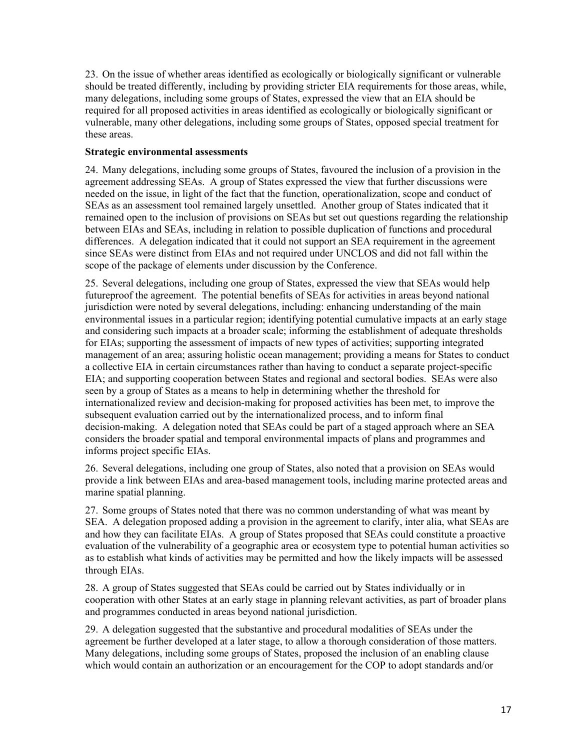23. On the issue of whether areas identified as ecologically or biologically significant or vulnerable should be treated differently, including by providing stricter EIA requirements for those areas, while, many delegations, including some groups of States, expressed the view that an EIA should be required for all proposed activities in areas identified as ecologically or biologically significant or vulnerable, many other delegations, including some groups of States, opposed special treatment for these areas.

#### **Strategic environmental assessments**

24. Many delegations, including some groups of States, favoured the inclusion of a provision in the agreement addressing SEAs. A group of States expressed the view that further discussions were needed on the issue, in light of the fact that the function, operationalization, scope and conduct of SEAs as an assessment tool remained largely unsettled. Another group of States indicated that it remained open to the inclusion of provisions on SEAs but set out questions regarding the relationship between EIAs and SEAs, including in relation to possible duplication of functions and procedural differences. A delegation indicated that it could not support an SEA requirement in the agreement since SEAs were distinct from EIAs and not required under UNCLOS and did not fall within the scope of the package of elements under discussion by the Conference.

25. Several delegations, including one group of States, expressed the view that SEAs would help futureproof the agreement. The potential benefits of SEAs for activities in areas beyond national jurisdiction were noted by several delegations, including: enhancing understanding of the main environmental issues in a particular region; identifying potential cumulative impacts at an early stage and considering such impacts at a broader scale; informing the establishment of adequate thresholds for EIAs; supporting the assessment of impacts of new types of activities; supporting integrated management of an area; assuring holistic ocean management; providing a means for States to conduct a collective EIA in certain circumstances rather than having to conduct a separate project-specific EIA; and supporting cooperation between States and regional and sectoral bodies. SEAs were also seen by a group of States as a means to help in determining whether the threshold for internationalized review and decision-making for proposed activities has been met, to improve the subsequent evaluation carried out by the internationalized process, and to inform final decision-making. A delegation noted that SEAs could be part of a staged approach where an SEA considers the broader spatial and temporal environmental impacts of plans and programmes and informs project specific EIAs.

26. Several delegations, including one group of States, also noted that a provision on SEAs would provide a link between EIAs and area-based management tools, including marine protected areas and marine spatial planning.

27. Some groups of States noted that there was no common understanding of what was meant by SEA. A delegation proposed adding a provision in the agreement to clarify, inter alia, what SEAs are and how they can facilitate EIAs. A group of States proposed that SEAs could constitute a proactive evaluation of the vulnerability of a geographic area or ecosystem type to potential human activities so as to establish what kinds of activities may be permitted and how the likely impacts will be assessed through EIAs.

28. A group of States suggested that SEAs could be carried out by States individually or in cooperation with other States at an early stage in planning relevant activities, as part of broader plans and programmes conducted in areas beyond national jurisdiction.

29. A delegation suggested that the substantive and procedural modalities of SEAs under the agreement be further developed at a later stage, to allow a thorough consideration of those matters. Many delegations, including some groups of States, proposed the inclusion of an enabling clause which would contain an authorization or an encouragement for the COP to adopt standards and/or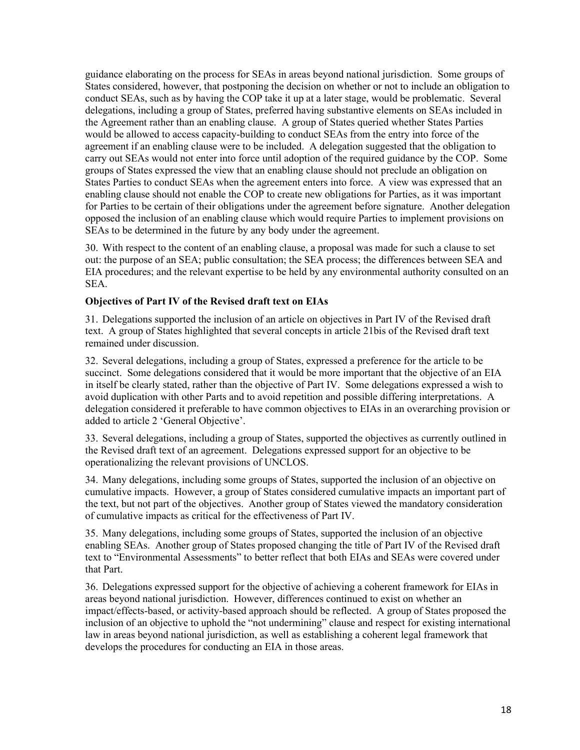guidance elaborating on the process for SEAs in areas beyond national jurisdiction. Some groups of States considered, however, that postponing the decision on whether or not to include an obligation to conduct SEAs, such as by having the COP take it up at a later stage, would be problematic. Several delegations, including a group of States, preferred having substantive elements on SEAs included in the Agreement rather than an enabling clause. A group of States queried whether States Parties would be allowed to access capacity-building to conduct SEAs from the entry into force of the agreement if an enabling clause were to be included. A delegation suggested that the obligation to carry out SEAs would not enter into force until adoption of the required guidance by the COP. Some groups of States expressed the view that an enabling clause should not preclude an obligation on States Parties to conduct SEAs when the agreement enters into force. A view was expressed that an enabling clause should not enable the COP to create new obligations for Parties, as it was important for Parties to be certain of their obligations under the agreement before signature. Another delegation opposed the inclusion of an enabling clause which would require Parties to implement provisions on SEAs to be determined in the future by any body under the agreement.

30. With respect to the content of an enabling clause, a proposal was made for such a clause to set out: the purpose of an SEA; public consultation; the SEA process; the differences between SEA and EIA procedures; and the relevant expertise to be held by any environmental authority consulted on an SEA.

#### **Objectives of Part IV of the Revised draft text on EIAs**

31. Delegations supported the inclusion of an article on objectives in Part IV of the Revised draft text. A group of States highlighted that several concepts in article 21bis of the Revised draft text remained under discussion.

32. Several delegations, including a group of States, expressed a preference for the article to be succinct. Some delegations considered that it would be more important that the objective of an EIA in itself be clearly stated, rather than the objective of Part IV. Some delegations expressed a wish to avoid duplication with other Parts and to avoid repetition and possible differing interpretations. A delegation considered it preferable to have common objectives to EIAs in an overarching provision or added to article 2 'General Objective'.

33. Several delegations, including a group of States, supported the objectives as currently outlined in the Revised draft text of an agreement. Delegations expressed support for an objective to be operationalizing the relevant provisions of UNCLOS.

34. Many delegations, including some groups of States, supported the inclusion of an objective on cumulative impacts. However, a group of States considered cumulative impacts an important part of the text, but not part of the objectives. Another group of States viewed the mandatory consideration of cumulative impacts as critical for the effectiveness of Part IV.

35. Many delegations, including some groups of States, supported the inclusion of an objective enabling SEAs. Another group of States proposed changing the title of Part IV of the Revised draft text to "Environmental Assessments" to better reflect that both EIAs and SEAs were covered under that Part.

36. Delegations expressed support for the objective of achieving a coherent framework for EIAs in areas beyond national jurisdiction. However, differences continued to exist on whether an impact/effects-based, or activity-based approach should be reflected. A group of States proposed the inclusion of an objective to uphold the "not undermining" clause and respect for existing international law in areas beyond national jurisdiction, as well as establishing a coherent legal framework that develops the procedures for conducting an EIA in those areas.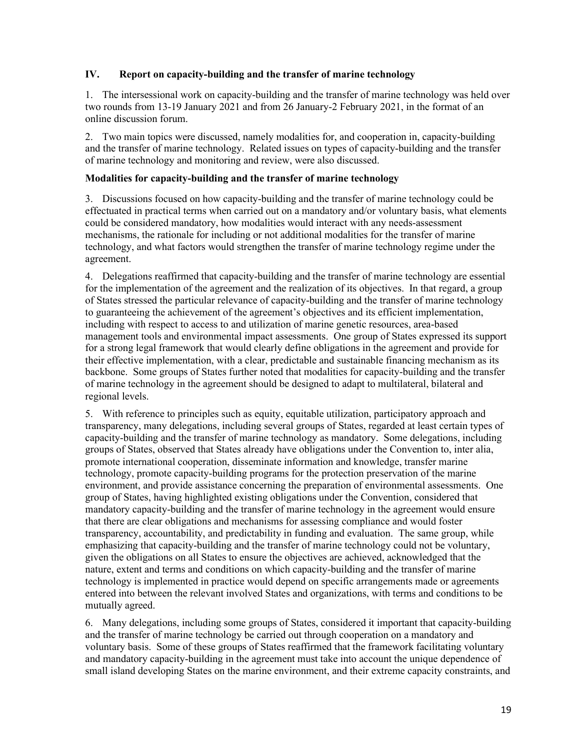### **IV. Report on capacity-building and the transfer of marine technology**

1. The intersessional work on capacity-building and the transfer of marine technology was held over two rounds from 13-19 January 2021 and from 26 January-2 February 2021, in the format of an online discussion forum.

2. Two main topics were discussed, namely modalities for, and cooperation in, capacity-building and the transfer of marine technology. Related issues on types of capacity-building and the transfer of marine technology and monitoring and review, were also discussed.

### **Modalities for capacity-building and the transfer of marine technology**

3. Discussions focused on how capacity-building and the transfer of marine technology could be effectuated in practical terms when carried out on a mandatory and/or voluntary basis, what elements could be considered mandatory, how modalities would interact with any needs-assessment mechanisms, the rationale for including or not additional modalities for the transfer of marine technology, and what factors would strengthen the transfer of marine technology regime under the agreement.

4. Delegations reaffirmed that capacity-building and the transfer of marine technology are essential for the implementation of the agreement and the realization of its objectives. In that regard, a group of States stressed the particular relevance of capacity-building and the transfer of marine technology to guaranteeing the achievement of the agreement's objectives and its efficient implementation, including with respect to access to and utilization of marine genetic resources, area-based management tools and environmental impact assessments. One group of States expressed its support for a strong legal framework that would clearly define obligations in the agreement and provide for their effective implementation, with a clear, predictable and sustainable financing mechanism as its backbone. Some groups of States further noted that modalities for capacity-building and the transfer of marine technology in the agreement should be designed to adapt to multilateral, bilateral and regional levels.

5. With reference to principles such as equity, equitable utilization, participatory approach and transparency, many delegations, including several groups of States, regarded at least certain types of capacity-building and the transfer of marine technology as mandatory. Some delegations, including groups of States, observed that States already have obligations under the Convention to, inter alia, promote international cooperation, disseminate information and knowledge, transfer marine technology, promote capacity-building programs for the protection preservation of the marine environment, and provide assistance concerning the preparation of environmental assessments. One group of States, having highlighted existing obligations under the Convention, considered that mandatory capacity-building and the transfer of marine technology in the agreement would ensure that there are clear obligations and mechanisms for assessing compliance and would foster transparency, accountability, and predictability in funding and evaluation. The same group, while emphasizing that capacity-building and the transfer of marine technology could not be voluntary, given the obligations on all States to ensure the objectives are achieved, acknowledged that the nature, extent and terms and conditions on which capacity-building and the transfer of marine technology is implemented in practice would depend on specific arrangements made or agreements entered into between the relevant involved States and organizations, with terms and conditions to be mutually agreed.

6. Many delegations, including some groups of States, considered it important that capacity-building and the transfer of marine technology be carried out through cooperation on a mandatory and voluntary basis. Some of these groups of States reaffirmed that the framework facilitating voluntary and mandatory capacity-building in the agreement must take into account the unique dependence of small island developing States on the marine environment, and their extreme capacity constraints, and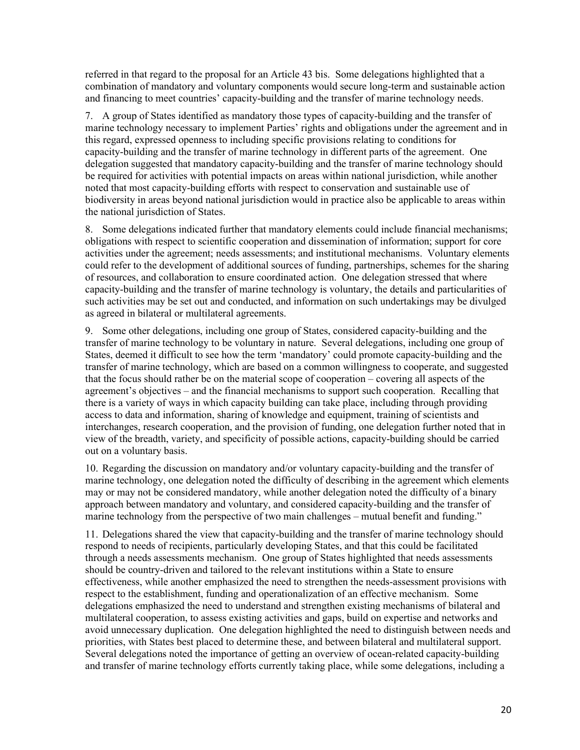referred in that regard to the proposal for an Article 43 bis. Some delegations highlighted that a combination of mandatory and voluntary components would secure long-term and sustainable action and financing to meet countries' capacity-building and the transfer of marine technology needs.

7. A group of States identified as mandatory those types of capacity-building and the transfer of marine technology necessary to implement Parties' rights and obligations under the agreement and in this regard, expressed openness to including specific provisions relating to conditions for capacity-building and the transfer of marine technology in different parts of the agreement. One delegation suggested that mandatory capacity-building and the transfer of marine technology should be required for activities with potential impacts on areas within national jurisdiction, while another noted that most capacity-building efforts with respect to conservation and sustainable use of biodiversity in areas beyond national jurisdiction would in practice also be applicable to areas within the national jurisdiction of States.

8. Some delegations indicated further that mandatory elements could include financial mechanisms; obligations with respect to scientific cooperation and dissemination of information; support for core activities under the agreement; needs assessments; and institutional mechanisms. Voluntary elements could refer to the development of additional sources of funding, partnerships, schemes for the sharing of resources, and collaboration to ensure coordinated action. One delegation stressed that where capacity-building and the transfer of marine technology is voluntary, the details and particularities of such activities may be set out and conducted, and information on such undertakings may be divulged as agreed in bilateral or multilateral agreements.

9. Some other delegations, including one group of States, considered capacity-building and the transfer of marine technology to be voluntary in nature. Several delegations, including one group of States, deemed it difficult to see how the term 'mandatory' could promote capacity-building and the transfer of marine technology, which are based on a common willingness to cooperate, and suggested that the focus should rather be on the material scope of cooperation – covering all aspects of the agreement's objectives – and the financial mechanisms to support such cooperation. Recalling that there is a variety of ways in which capacity building can take place, including through providing access to data and information, sharing of knowledge and equipment, training of scientists and interchanges, research cooperation, and the provision of funding, one delegation further noted that in view of the breadth, variety, and specificity of possible actions, capacity-building should be carried out on a voluntary basis.

10. Regarding the discussion on mandatory and/or voluntary capacity-building and the transfer of marine technology, one delegation noted the difficulty of describing in the agreement which elements may or may not be considered mandatory, while another delegation noted the difficulty of a binary approach between mandatory and voluntary, and considered capacity-building and the transfer of marine technology from the perspective of two main challenges – mutual benefit and funding."

11. Delegations shared the view that capacity-building and the transfer of marine technology should respond to needs of recipients, particularly developing States, and that this could be facilitated through a needs assessments mechanism. One group of States highlighted that needs assessments should be country-driven and tailored to the relevant institutions within a State to ensure effectiveness, while another emphasized the need to strengthen the needs-assessment provisions with respect to the establishment, funding and operationalization of an effective mechanism. Some delegations emphasized the need to understand and strengthen existing mechanisms of bilateral and multilateral cooperation, to assess existing activities and gaps, build on expertise and networks and avoid unnecessary duplication. One delegation highlighted the need to distinguish between needs and priorities, with States best placed to determine these, and between bilateral and multilateral support. Several delegations noted the importance of getting an overview of ocean-related capacity-building and transfer of marine technology efforts currently taking place, while some delegations, including a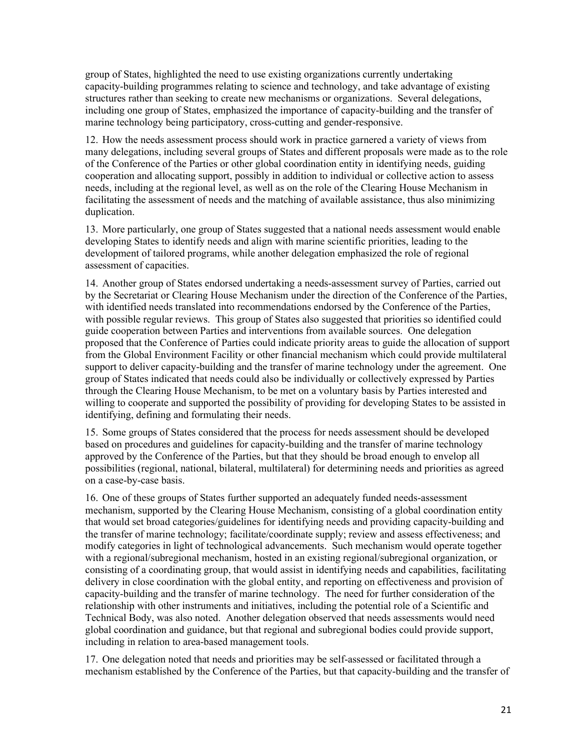group of States, highlighted the need to use existing organizations currently undertaking capacity-building programmes relating to science and technology, and take advantage of existing structures rather than seeking to create new mechanisms or organizations. Several delegations, including one group of States, emphasized the importance of capacity-building and the transfer of marine technology being participatory, cross-cutting and gender-responsive.

12. How the needs assessment process should work in practice garnered a variety of views from many delegations, including several groups of States and different proposals were made as to the role of the Conference of the Parties or other global coordination entity in identifying needs, guiding cooperation and allocating support, possibly in addition to individual or collective action to assess needs, including at the regional level, as well as on the role of the Clearing House Mechanism in facilitating the assessment of needs and the matching of available assistance, thus also minimizing duplication.

13. More particularly, one group of States suggested that a national needs assessment would enable developing States to identify needs and align with marine scientific priorities, leading to the development of tailored programs, while another delegation emphasized the role of regional assessment of capacities.

14. Another group of States endorsed undertaking a needs-assessment survey of Parties, carried out by the Secretariat or Clearing House Mechanism under the direction of the Conference of the Parties, with identified needs translated into recommendations endorsed by the Conference of the Parties, with possible regular reviews. This group of States also suggested that priorities so identified could guide cooperation between Parties and interventions from available sources. One delegation proposed that the Conference of Parties could indicate priority areas to guide the allocation of support from the Global Environment Facility or other financial mechanism which could provide multilateral support to deliver capacity-building and the transfer of marine technology under the agreement. One group of States indicated that needs could also be individually or collectively expressed by Parties through the Clearing House Mechanism, to be met on a voluntary basis by Parties interested and willing to cooperate and supported the possibility of providing for developing States to be assisted in identifying, defining and formulating their needs.

15. Some groups of States considered that the process for needs assessment should be developed based on procedures and guidelines for capacity-building and the transfer of marine technology approved by the Conference of the Parties, but that they should be broad enough to envelop all possibilities (regional, national, bilateral, multilateral) for determining needs and priorities as agreed on a case-by-case basis.

16. One of these groups of States further supported an adequately funded needs-assessment mechanism, supported by the Clearing House Mechanism, consisting of a global coordination entity that would set broad categories/guidelines for identifying needs and providing capacity-building and the transfer of marine technology; facilitate/coordinate supply; review and assess effectiveness; and modify categories in light of technological advancements. Such mechanism would operate together with a regional/subregional mechanism, hosted in an existing regional/subregional organization, or consisting of a coordinating group, that would assist in identifying needs and capabilities, facilitating delivery in close coordination with the global entity, and reporting on effectiveness and provision of capacity-building and the transfer of marine technology. The need for further consideration of the relationship with other instruments and initiatives, including the potential role of a Scientific and Technical Body, was also noted. Another delegation observed that needs assessments would need global coordination and guidance, but that regional and subregional bodies could provide support, including in relation to area-based management tools.

17. One delegation noted that needs and priorities may be self-assessed or facilitated through a mechanism established by the Conference of the Parties, but that capacity-building and the transfer of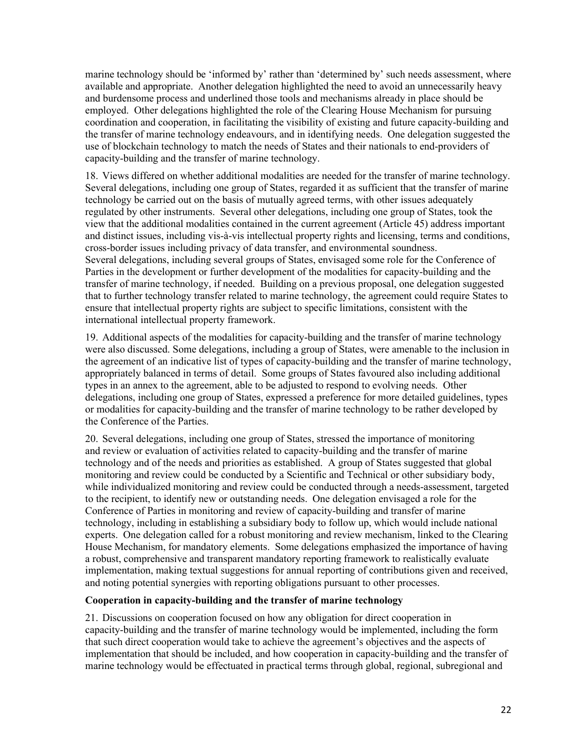marine technology should be 'informed by' rather than 'determined by' such needs assessment, where available and appropriate. Another delegation highlighted the need to avoid an unnecessarily heavy and burdensome process and underlined those tools and mechanisms already in place should be employed. Other delegations highlighted the role of the Clearing House Mechanism for pursuing coordination and cooperation, in facilitating the visibility of existing and future capacity-building and the transfer of marine technology endeavours, and in identifying needs. One delegation suggested the use of blockchain technology to match the needs of States and their nationals to end-providers of capacity-building and the transfer of marine technology.

18. Views differed on whether additional modalities are needed for the transfer of marine technology. Several delegations, including one group of States, regarded it as sufficient that the transfer of marine technology be carried out on the basis of mutually agreed terms, with other issues adequately regulated by other instruments. Several other delegations, including one group of States, took the view that the additional modalities contained in the current agreement (Article 45) address important and distinct issues, including vis-à-vis intellectual property rights and licensing, terms and conditions, cross-border issues including privacy of data transfer, and environmental soundness. Several delegations, including several groups of States, envisaged some role for the Conference of Parties in the development or further development of the modalities for capacity-building and the transfer of marine technology, if needed. Building on a previous proposal, one delegation suggested that to further technology transfer related to marine technology, the agreement could require States to ensure that intellectual property rights are subject to specific limitations, consistent with the international intellectual property framework.

19. Additional aspects of the modalities for capacity-building and the transfer of marine technology were also discussed. Some delegations, including a group of States, were amenable to the inclusion in the agreement of an indicative list of types of capacity-building and the transfer of marine technology, appropriately balanced in terms of detail. Some groups of States favoured also including additional types in an annex to the agreement, able to be adjusted to respond to evolving needs. Other delegations, including one group of States, expressed a preference for more detailed guidelines, types or modalities for capacity-building and the transfer of marine technology to be rather developed by the Conference of the Parties.

20. Several delegations, including one group of States, stressed the importance of monitoring and review or evaluation of activities related to capacity-building and the transfer of marine technology and of the needs and priorities as established. A group of States suggested that global monitoring and review could be conducted by a Scientific and Technical or other subsidiary body, while individualized monitoring and review could be conducted through a needs-assessment, targeted to the recipient, to identify new or outstanding needs. One delegation envisaged a role for the Conference of Parties in monitoring and review of capacity-building and transfer of marine technology, including in establishing a subsidiary body to follow up, which would include national experts. One delegation called for a robust monitoring and review mechanism, linked to the Clearing House Mechanism, for mandatory elements. Some delegations emphasized the importance of having a robust, comprehensive and transparent mandatory reporting framework to realistically evaluate implementation, making textual suggestions for annual reporting of contributions given and received, and noting potential synergies with reporting obligations pursuant to other processes.

#### **Cooperation in capacity-building and the transfer of marine technology**

21. Discussions on cooperation focused on how any obligation for direct cooperation in capacity-building and the transfer of marine technology would be implemented, including the form that such direct cooperation would take to achieve the agreement's objectives and the aspects of implementation that should be included, and how cooperation in capacity-building and the transfer of marine technology would be effectuated in practical terms through global, regional, subregional and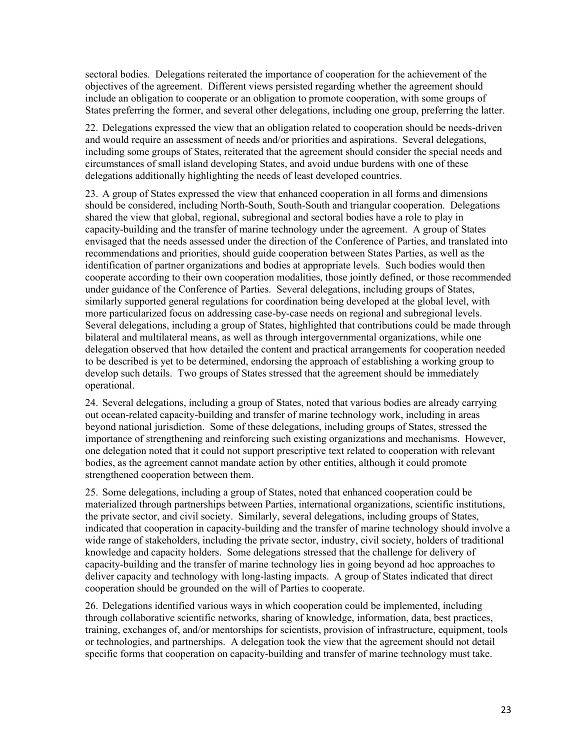sectoral bodies. Delegations reiterated the importance of cooperation for the achievement of the objectives of the agreement. Different views persisted regarding whether the agreement should include an obligation to cooperate or an obligation to promote cooperation, with some groups of States preferring the former, and several other delegations, including one group, preferring the latter.

22. Delegations expressed the view that an obligation related to cooperation should be needs-driven and would require an assessment of needs and/or priorities and aspirations. Several delegations, including some groups of States, reiterated that the agreement should consider the special needs and circumstances of small island developing States, and avoid undue burdens with one of these delegations additionally highlighting the needs of least developed countries.

23. A group of States expressed the view that enhanced cooperation in all forms and dimensions should be considered, including North-South, South-South and triangular cooperation. Delegations shared the view that global, regional, subregional and sectoral bodies have a role to play in capacity-building and the transfer of marine technology under the agreement. A group of States envisaged that the needs assessed under the direction of the Conference of Parties, and translated into recommendations and priorities, should guide cooperation between States Parties, as well as the identification of partner organizations and bodies at appropriate levels. Such bodies would then cooperate according to their own cooperation modalities, those jointly defined, or those recommended under guidance of the Conference of Parties. Several delegations, including groups of States, similarly supported general regulations for coordination being developed at the global level, with more particularized focus on addressing case-by-case needs on regional and subregional levels. Several delegations, including a group of States, highlighted that contributions could be made through bilateral and multilateral means, as well as through intergovernmental organizations, while one delegation observed that how detailed the content and practical arrangements for cooperation needed to be described is yet to be determined, endorsing the approach of establishing a working group to develop such details. Two groups of States stressed that the agreement should be immediately operational.

24. Several delegations, including a group of States, noted that various bodies are already carrying out ocean-related capacity-building and transfer of marine technology work, including in areas beyond national jurisdiction. Some of these delegations, including groups of States, stressed the importance of strengthening and reinforcing such existing organizations and mechanisms. However, one delegation noted that it could not support prescriptive text related to cooperation with relevant bodies, as the agreement cannot mandate action by other entities, although it could promote strengthened cooperation between them.

25. Some delegations, including a group of States, noted that enhanced cooperation could be materialized through partnerships between Parties, international organizations, scientific institutions, the private sector, and civil society. Similarly, several delegations, including groups of States, indicated that cooperation in capacity-building and the transfer of marine technology should involve a wide range of stakeholders, including the private sector, industry, civil society, holders of traditional knowledge and capacity holders. Some delegations stressed that the challenge for delivery of capacity-building and the transfer of marine technology lies in going beyond ad hoc approaches to deliver capacity and technology with long-lasting impacts. A group of States indicated that direct cooperation should be grounded on the will of Parties to cooperate.

26. Delegations identified various ways in which cooperation could be implemented, including through collaborative scientific networks, sharing of knowledge, information, data, best practices, training, exchanges of, and/or mentorships for scientists, provision of infrastructure, equipment, tools or technologies, and partnerships. A delegation took the view that the agreement should not detail specific forms that cooperation on capacity-building and transfer of marine technology must take.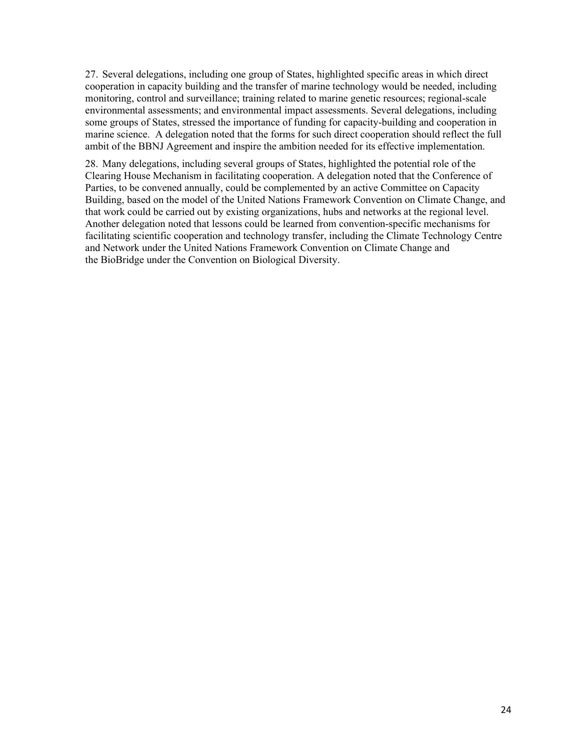27. Several delegations, including one group of States, highlighted specific areas in which direct cooperation in capacity building and the transfer of marine technology would be needed, including monitoring, control and surveillance; training related to marine genetic resources; regional-scale environmental assessments; and environmental impact assessments. Several delegations, including some groups of States, stressed the importance of funding for capacity-building and cooperation in marine science. A delegation noted that the forms for such direct cooperation should reflect the full ambit of the BBNJ Agreement and inspire the ambition needed for its effective implementation.

28. Many delegations, including several groups of States, highlighted the potential role of the Clearing House Mechanism in facilitating cooperation. A delegation noted that the Conference of Parties, to be convened annually, could be complemented by an active Committee on Capacity Building, based on the model of the United Nations Framework Convention on Climate Change, and that work could be carried out by existing organizations, hubs and networks at the regional level. Another delegation noted that lessons could be learned from convention-specific mechanisms for facilitating scientific cooperation and technology transfer, including the Climate Technology Centre and Network under the United Nations Framework Convention on Climate Change and the BioBridge under the Convention on Biological Diversity.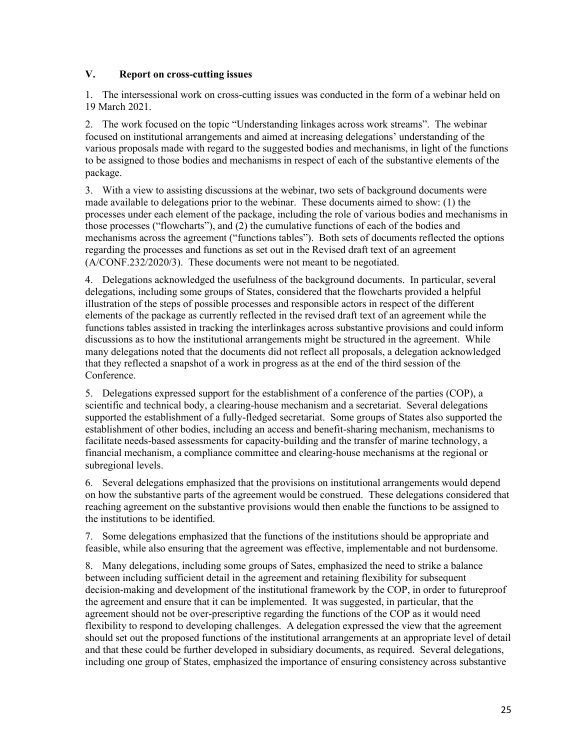### **V. Report on cross-cutting issues**

1. The intersessional work on cross-cutting issues was conducted in the form of a webinar held on 19 March 2021.

2. The work focused on the topic "Understanding linkages across work streams". The webinar focused on institutional arrangements and aimed at increasing delegations' understanding of the various proposals made with regard to the suggested bodies and mechanisms, in light of the functions to be assigned to those bodies and mechanisms in respect of each of the substantive elements of the package.

3. With a view to assisting discussions at the webinar, two sets of background documents were made available to delegations prior to the webinar. These documents aimed to show: (1) the processes under each element of the package, including the role of various bodies and mechanisms in those processes ("flowcharts"), and (2) the cumulative functions of each of the bodies and mechanisms across the agreement ("functions tables"). Both sets of documents reflected the options regarding the processes and functions as set out in the Revised draft text of an agreement (A/CONF.232/2020/3). These documents were not meant to be negotiated.

4. Delegations acknowledged the usefulness of the background documents. In particular, several delegations, including some groups of States, considered that the flowcharts provided a helpful illustration of the steps of possible processes and responsible actors in respect of the different elements of the package as currently reflected in the revised draft text of an agreement while the functions tables assisted in tracking the interlinkages across substantive provisions and could inform discussions as to how the institutional arrangements might be structured in the agreement. While many delegations noted that the documents did not reflect all proposals, a delegation acknowledged that they reflected a snapshot of a work in progress as at the end of the third session of the Conference.

5. Delegations expressed support for the establishment of a conference of the parties (COP), a scientific and technical body, a clearing-house mechanism and a secretariat. Several delegations supported the establishment of a fully-fledged secretariat. Some groups of States also supported the establishment of other bodies, including an access and benefit-sharing mechanism, mechanisms to facilitate needs-based assessments for capacity-building and the transfer of marine technology, a financial mechanism, a compliance committee and clearing-house mechanisms at the regional or subregional levels.

6. Several delegations emphasized that the provisions on institutional arrangements would depend on how the substantive parts of the agreement would be construed. These delegations considered that reaching agreement on the substantive provisions would then enable the functions to be assigned to the institutions to be identified.

7. Some delegations emphasized that the functions of the institutions should be appropriate and feasible, while also ensuring that the agreement was effective, implementable and not burdensome.

8. Many delegations, including some groups of Sates, emphasized the need to strike a balance between including sufficient detail in the agreement and retaining flexibility for subsequent decision-making and development of the institutional framework by the COP, in order to futureproof the agreement and ensure that it can be implemented. It was suggested, in particular, that the agreement should not be over-prescriptive regarding the functions of the COP as it would need flexibility to respond to developing challenges. A delegation expressed the view that the agreement should set out the proposed functions of the institutional arrangements at an appropriate level of detail and that these could be further developed in subsidiary documents, as required. Several delegations, including one group of States, emphasized the importance of ensuring consistency across substantive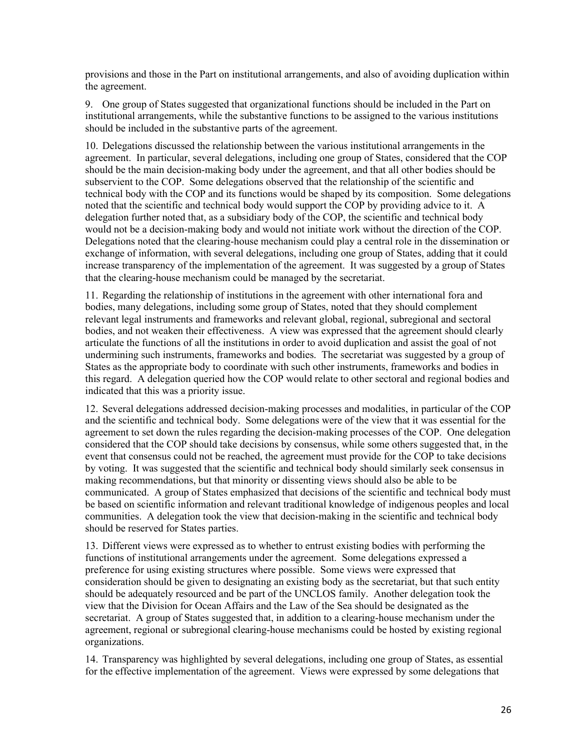provisions and those in the Part on institutional arrangements, and also of avoiding duplication within the agreement.

9. One group of States suggested that organizational functions should be included in the Part on institutional arrangements, while the substantive functions to be assigned to the various institutions should be included in the substantive parts of the agreement.

10. Delegations discussed the relationship between the various institutional arrangements in the agreement. In particular, several delegations, including one group of States, considered that the COP should be the main decision-making body under the agreement, and that all other bodies should be subservient to the COP. Some delegations observed that the relationship of the scientific and technical body with the COP and its functions would be shaped by its composition. Some delegations noted that the scientific and technical body would support the COP by providing advice to it. A delegation further noted that, as a subsidiary body of the COP, the scientific and technical body would not be a decision-making body and would not initiate work without the direction of the COP. Delegations noted that the clearing-house mechanism could play a central role in the dissemination or exchange of information, with several delegations, including one group of States, adding that it could increase transparency of the implementation of the agreement. It was suggested by a group of States that the clearing-house mechanism could be managed by the secretariat.

11. Regarding the relationship of institutions in the agreement with other international fora and bodies, many delegations, including some group of States, noted that they should complement relevant legal instruments and frameworks and relevant global, regional, subregional and sectoral bodies, and not weaken their effectiveness. A view was expressed that the agreement should clearly articulate the functions of all the institutions in order to avoid duplication and assist the goal of not undermining such instruments, frameworks and bodies. The secretariat was suggested by a group of States as the appropriate body to coordinate with such other instruments, frameworks and bodies in this regard. A delegation queried how the COP would relate to other sectoral and regional bodies and indicated that this was a priority issue.

12. Several delegations addressed decision-making processes and modalities, in particular of the COP and the scientific and technical body. Some delegations were of the view that it was essential for the agreement to set down the rules regarding the decision-making processes of the COP. One delegation considered that the COP should take decisions by consensus, while some others suggested that, in the event that consensus could not be reached, the agreement must provide for the COP to take decisions by voting. It was suggested that the scientific and technical body should similarly seek consensus in making recommendations, but that minority or dissenting views should also be able to be communicated. A group of States emphasized that decisions of the scientific and technical body must be based on scientific information and relevant traditional knowledge of indigenous peoples and local communities. A delegation took the view that decision-making in the scientific and technical body should be reserved for States parties.

13. Different views were expressed as to whether to entrust existing bodies with performing the functions of institutional arrangements under the agreement. Some delegations expressed a preference for using existing structures where possible. Some views were expressed that consideration should be given to designating an existing body as the secretariat, but that such entity should be adequately resourced and be part of the UNCLOS family. Another delegation took the view that the Division for Ocean Affairs and the Law of the Sea should be designated as the secretariat. A group of States suggested that, in addition to a clearing-house mechanism under the agreement, regional or subregional clearing-house mechanisms could be hosted by existing regional organizations.

14. Transparency was highlighted by several delegations, including one group of States, as essential for the effective implementation of the agreement. Views were expressed by some delegations that